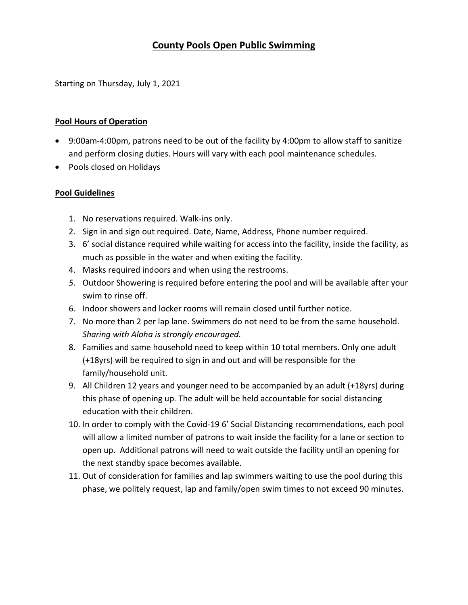# **County Pools Open Public Swimming**

Starting on Thursday, July 1, 2021

#### **Pool Hours of Operation**

- 9:00am-4:00pm, patrons need to be out of the facility by 4:00pm to allow staff to sanitize and perform closing duties. Hours will vary with each pool maintenance schedules.
- Pools closed on Holidays

### **Pool Guidelines**

- 1. No reservations required. Walk-ins only.
- 2. Sign in and sign out required. Date, Name, Address, Phone number required.
- 3. 6' social distance required while waiting for access into the facility, inside the facility, as much as possible in the water and when exiting the facility.
- 4. Masks required indoors and when using the restrooms.
- *5.* Outdoor Showering is required before entering the pool and will be available after your swim to rinse off.
- 6. Indoor showers and locker rooms will remain closed until further notice.
- 7. No more than 2 per lap lane. Swimmers do not need to be from the same household. *Sharing with Aloha is strongly encouraged.*
- 8. Families and same household need to keep within 10 total members. Only one adult (+18yrs) will be required to sign in and out and will be responsible for the family/household unit.
- 9. All Children 12 years and younger need to be accompanied by an adult (+18yrs) during this phase of opening up. The adult will be held accountable for social distancing education with their children.
- 10. In order to comply with the Covid-19 6' Social Distancing recommendations, each pool will allow a limited number of patrons to wait inside the facility for a lane or section to open up. Additional patrons will need to wait outside the facility until an opening for the next standby space becomes available.
- 11. Out of consideration for families and lap swimmers waiting to use the pool during this phase, we politely request, lap and family/open swim times to not exceed 90 minutes.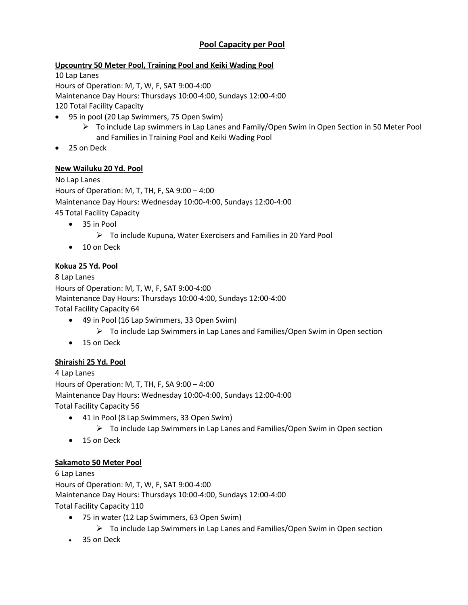## **Pool Capacity per Pool**

### **Upcountry 50 Meter Pool, Training Pool and Keiki Wading Pool**

10 Lap Lanes Hours of Operation: M, T, W, F, SAT 9:00-4:00 Maintenance Day Hours: Thursdays 10:00-4:00, Sundays 12:00-4:00 120 Total Facility Capacity

- 95 in pool (20 Lap Swimmers, 75 Open Swim)
	- $\triangleright$  To include Lap swimmers in Lap Lanes and Family/Open Swim in Open Section in 50 Meter Pool and Families in Training Pool and Keiki Wading Pool
- 25 on Deck

#### **New Wailuku 20 Yd. Pool**

No Lap Lanes Hours of Operation: M, T, TH, F, SA 9:00 – 4:00 Maintenance Day Hours: Wednesday 10:00-4:00, Sundays 12:00-4:00 45 Total Facility Capacity

- 35 in Pool
	- $\triangleright$  To include Kupuna, Water Exercisers and Families in 20 Yard Pool
- 10 on Deck

### **Kokua 25 Yd. Pool**

8 Lap Lanes Hours of Operation: M, T, W, F, SAT 9:00-4:00 Maintenance Day Hours: Thursdays 10:00-4:00, Sundays 12:00-4:00 Total Facility Capacity 64

- 49 in Pool (16 Lap Swimmers, 33 Open Swim)
	- $\triangleright$  To include Lap Swimmers in Lap Lanes and Families/Open Swim in Open section
- 15 on Deck

### **Shiraishi 25 Yd. Pool**

4 Lap Lanes Hours of Operation: M, T, TH, F, SA 9:00 – 4:00 Maintenance Day Hours: Wednesday 10:00-4:00, Sundays 12:00-4:00 Total Facility Capacity 56

- 41 in Pool (8 Lap Swimmers, 33 Open Swim)
	- To include Lap Swimmers in Lap Lanes and Families/Open Swim in Open section
- 15 on Deck

### **Sakamoto 50 Meter Pool**

6 Lap Lanes Hours of Operation: M, T, W, F, SAT 9:00-4:00 Maintenance Day Hours: Thursdays 10:00-4:00, Sundays 12:00-4:00 Total Facility Capacity 110

- 75 in water (12 Lap Swimmers, 63 Open Swim)
	- $\triangleright$  To include Lap Swimmers in Lap Lanes and Families/Open Swim in Open section
- 35 on Deck